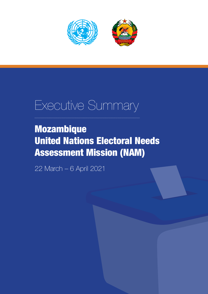

# Executive Summary

# Mozambique United Nations Electoral Needs Assessment Mission (NAM)

22 March – 6 April 2021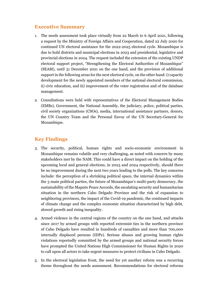## **Executive Summary**

- 1. The needs assessment took place virtually from 22 March to 6 April 2021, following a request by the Ministry of Foreign Affairs and Cooperation, dated 22 July 2020 for continued UN electoral assistance for the 2022-2025 electoral cycle. Mozambique is due to hold districts and municipal elections in 2023 and presidential, legislative and provincial elections in 2024. The request included the extension of the existing UNDP electoral support project, "Strengthening the Electoral Authorities of Mozambique" (SEAM), until 31 December 2021 on the one hand, and the provision of additional support in the following areas for the next electoral cycle, on the other hand: i) capacity development for the newly appointed members of the national electoral commission, ii) civic education, and iii) improvement of the voter registration and of the database management.
- 2. Consultations were held with representatives of the Electoral Management Bodies (EMBs), Government, the National Assembly, the judiciary, police, political parties, civil society organizations (CSOs), media, international assistance partners, donors, the UN Country Team and the Personal Envoy of the UN Secretary-General for Mozambique.

# **Key Findings**

- 3. The security, political, human rights and socio-economic environment in Mozambique remains volatile and very challenging, as noted with concern by many stakeholders met by the NAM. This could have a direct impact on the holding of the upcoming local and general elections, in 2023 and 2024 respectively, should there be no improvement during the next two years leading to the polls. The key concerns include: the perception of a shrinking political space, the internal dynamics within the 3 main political parties, the future of Mozambique's multi-party democracy, the sustainability of the Maputo Peace Accords, the escalating security and humanitarian situation in the northern Cabo Delgado Province and the risk of expansion to neighboring provinces, the impact of the Covid-19 pandemic, the continued impacts of climate change and the complex economic situation characterized by high debt, slowed growth and rising inequality.
- 4. Armed violence in the central regions of the country on the one hand, and attacks since 2017 by armed groups with reported extremist ties in the northern province of Cabo Delgado have resulted in hundreds of casualties and more than 700,000 internally displaced persons (IDPs). Serious abuses and growing human rights violations reportedly committed by the armed groups and national security forces have prompted the United Nations High Commissioner for Human Rights in 2020 to call upon all actors to take urgent measures to protect civilians in Cabo Delgado.
- 5. In the electoral legislation front, the need for yet another reform was a recurring theme throughout the needs assessment. Recommendations for electoral reforms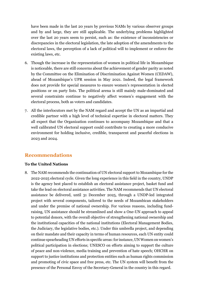have been made in the last 20 years by previous NAMs by various observer groups and by and large, they are still applicable. The underlying problems highlighted over the last 20 years seem to persist, such as: the existence of inconsistencies or discrepancies in the electoral legislation, the late adoption of the amendments to the electoral laws, the perception of a lack of political will to implement or enforce the existing laws, etc.

- 6. Though the increase in the representation of women in political life in Mozambique is noticeable, there are still concerns about the achievement of gender parity as noted by the Committee on the Elimination of Discrimination Against Women (CEDAW), ahead of Mozambique's UPR session in May 2021. Indeed, the legal framework does not provide for special measures to ensure women's representation in elected positions or on party lists. The political arena is still mainly male-dominated and several constraints continue to negatively affect women's engagement with the electoral process, both as voters and candidates.
- 7. All the interlocutors met by the NAM regard and accept the UN as an impartial and credible partner with a high level of technical expertise in electoral matters. They all expect that the Organization continues to accompany Mozambique and that a well calibrated UN electoral support could contribute to creating a more conducive environment for holding inclusive, credible, transparent and peaceful elections in 2023 and 2024.

## **Recommendations**

#### **To the United Nations**

8. The NAM recommends the continuation of UN electoral support to Mozambique for the 2022-2025 electoral cycle. Given the long experience in this field in the country, UNDP is the agency best placed to establish an electoral assistance project, basket fund and take the lead on electoral assistance activities. The NAM recommends that UN electoral assistance be delivered, until 31 December 2025, through a UNDP-led integrated project with several components, tailored to the needs of Mozambican stakeholders and under the premise of national ownership. For various reasons, including fundraising, UN assistance should be streamlined and show a One-UN approach to appeal to potential donors, with the overall objective of strengthening national ownership and the institutional capacities of the national institutions (Electoral Management Bodies, the Judiciary, the legislative bodies, etc.). Under this umbrella project, and depending on their mandate and their capacity in terms of human resources, each UN entity could continue spearheading UN efforts in specific areas: for instance, UN Women on women's political participation in elections; UNESCO on efforts aiming to support the culture of peace and non-violence, media training and prevention of hate speech; OHCHR on support to justice institutions and protection entities such as human rights commission and promoting of civic space and free press, etc. The UN system will benefit from the presence of the Personal Envoy of the Secretary-General in the country in this regard.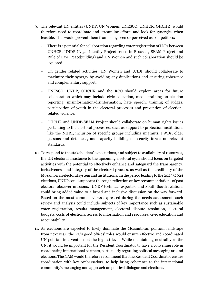- 9. The relevant UN entities (UNDP, UN Women, UNESCO, UNHCR, OHCHR) would therefore need to coordinate and streamline efforts and look for synergies when feasible. This would prevent them from being seen or perceived as competitors:
	- There is a potential for collaboration regarding voter registration of IDPs between UNHCR, UNDP (Legal Identity Project based in Brussels, SEAM Project and Rule of Law, Peacebuilding) and UN Women and such collaboration should be explored.
	- On gender related activities, UN Women and UNDP should collaborate to maximize their synergy by avoiding any duplications and ensuring coherence and complementary support.
	- UNESCO, UNDP, OHCHR and the RCO should explore areas for future collaboration which may include civic education, media training on election reporting, misinformation/disinformation, hate speech, training of judges, participation of youth in the electoral processes and prevention of electionrelated violence.
	- OHCHR and UNDP-SEAM Project should collaborate on human rights issues pertaining to the electoral processes, such as support to protection institutions like the NHRI, inclusion of specific groups including migrants, PWDs, older persons and detainees, and capacity building of security forces on relevant standards.
- 10. To respond to the stakeholders' expectations, and subject to availability of resources, the UN electoral assistance to the upcoming electoral cycle should focus on targeted activities with the potential to effectively enhance and safeguard the transparency, inclusiveness and integrity of the electoral process, as well as the credibility of the Mozambican electoral system and institutions. In the period leading to the 2023/2024 elections, UNDP could support a thorough reflection on key recommendations of past electoral observer missions. UNDP technical expertise and South-South relations could bring added value to a broad and inclusive discussion on the way forward. Based on the most common views expressed during the needs assessment, such review and analysis could include subjects of key importance such as sustainable voter registration, results management, electoral dispute resolution, electoral budgets, costs of elections, access to information and resources, civic education and accountability.
- 11. As elections are expected to likely dominate the Mozambican political landscape from next year, the RC's good offices' roles would ensure effective and coordinated UN political interventions at the highest level. While maintaining neutrality as the UN, it would be important for the Resident Coordinator to have a convening role in coordinating international partners, particularly regarding political messaging around elections. The NAM would therefore recommend that the Resident Coordinator ensure coordination with key Ambassadors, to help bring coherence to the international community's messaging and approach on political dialogue and elections.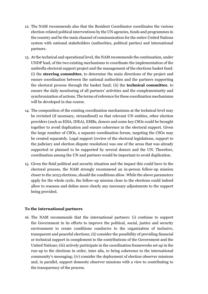- 12. The NAM recommends also that the Resident Coordinator coordinates the various election-related political interventions by the UN agencies, funds and programmes in the country and be the main channel of communication for the entire United Nations system with national stakeholders (authorities, political parties) and international partners.
- 13. At the technical and operational level, the NAM recommends the continuation, under UNDP lead, of the two existing mechanisms to coordinate the implementation of the umbrella electoral support project and the management of the elections basket fund: (i) the **steering committee**, to determine the main directions of the project and ensure coordination between the national authorities and the partners supporting the electoral process through the basket fund; (ii) the **technical committee**, to ensure the daily monitoring of all partners' activities and the complementarity and synchronization of actions. The terms of reference for these coordination mechanisms will be developed in due course.
- 14. The composition of the existing coordination mechanisms at the technical level may be revisited (if necessary, streamlined) so that relevant UN entities, other election providers (such as EISA, IDEA), EMBs, donors and some key CSOs could be brought together to avoid duplication and ensure coherence in the electoral support. Given the large number of CSOs, a separate coordination forum, targeting the CSOs may be created separately. Legal support (review of the electoral legislations, support to the judiciary and election dispute resolution) was one of the areas that was already supported or planned to be supported by several donors and the UN. Therefore, coordination among the UN and partners would be important to avoid duplication.
- 15. Given the fluid political and security situation and the impact this could have in the electoral process, the NAM strongly recommend an in-person follow-up mission closer to the 2023 elections, should the conditions allow. While the above parameters apply for the whole cycle, the follow-up mission close to the elections could indeed allow to reassess and define more clearly any necessary adjustments to the support being provided.

#### **To the international partners**

16. The NAM recommends that the international partners: (i) continue to support the Government in its efforts to improve the political, social, justice and security environment to create conditions conducive to the organization of inclusive, transparent and peaceful elections; (ii) consider the possibility of providing financial or technical support in complement to the contributions of the Government and the United Nations; (iii) actively participate in the coordination frameworks set up in the run-up to the elections in order, inter alia, to bring coherence to the international community's messaging; (iv) consider the deployment of election observer missions and, in parallel, support domestic observer missions with a view to contributing to the transparency of the process.